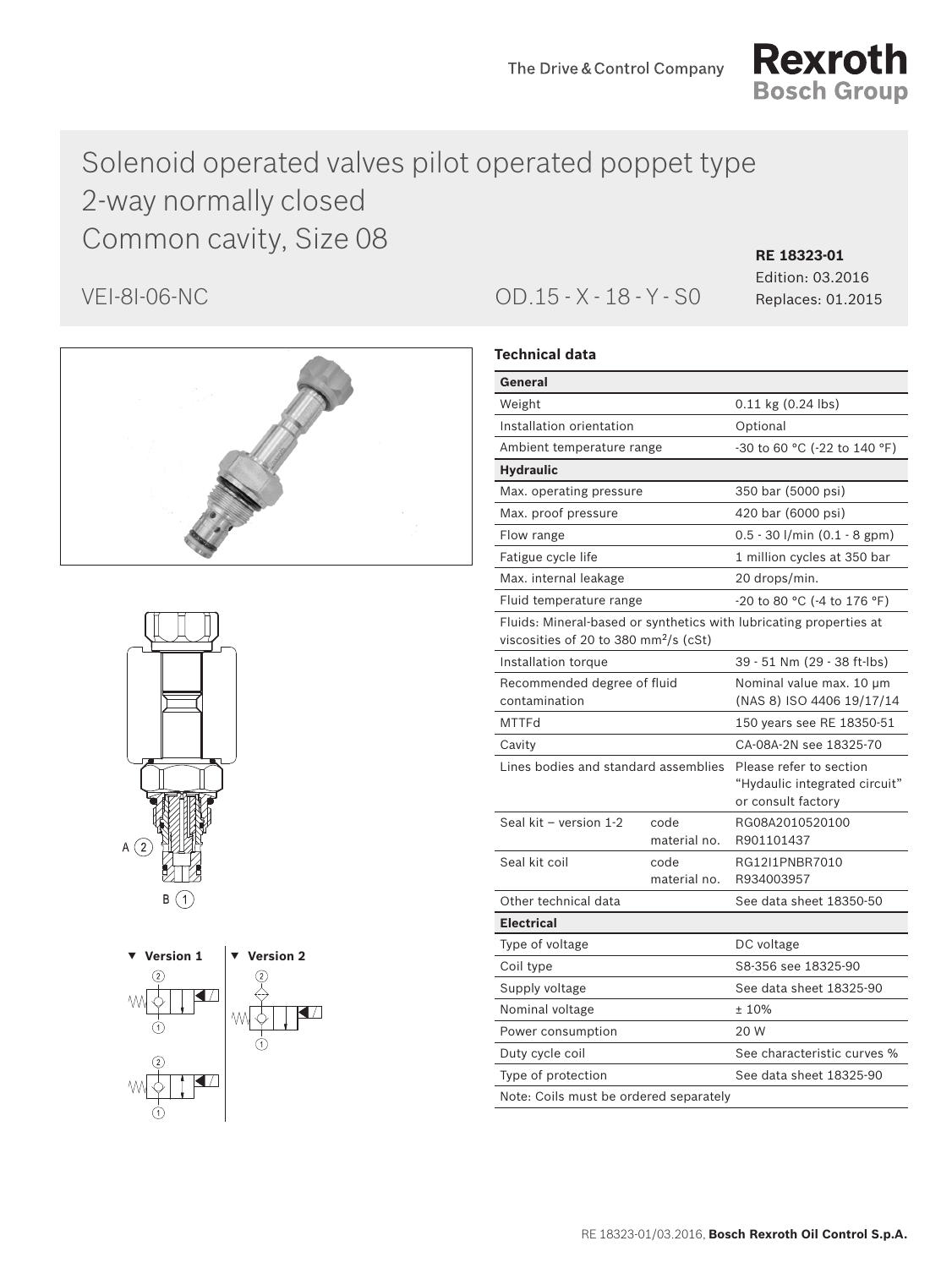

# Solenoid operated valves pilot operated poppet type 2-way normally closed Common cavity, Size 08 **RE 18323-01**







VEI-8I-06-NC OD.15 - X - 18 - Y - S0 Replaces: 01.2015

Edition: 03.2016

# **Technical data**

| General                                                                                                                 |                             |                                                                                |  |  |
|-------------------------------------------------------------------------------------------------------------------------|-----------------------------|--------------------------------------------------------------------------------|--|--|
| Weight                                                                                                                  |                             | $0.11$ kg $(0.24$ lbs)                                                         |  |  |
| Installation orientation                                                                                                |                             | Optional                                                                       |  |  |
| Ambient temperature range                                                                                               |                             | -30 to 60 °C (-22 to 140 °F)                                                   |  |  |
| <b>Hydraulic</b>                                                                                                        |                             |                                                                                |  |  |
| Max. operating pressure                                                                                                 |                             | 350 bar (5000 psi)                                                             |  |  |
| Max. proof pressure                                                                                                     |                             | 420 bar (6000 psi)                                                             |  |  |
| Flow range                                                                                                              |                             | 0.5 - 30 l/min (0.1 - 8 gpm)                                                   |  |  |
| Fatigue cycle life                                                                                                      |                             | 1 million cycles at 350 bar                                                    |  |  |
| Max. internal leakage                                                                                                   |                             | 20 drops/min.                                                                  |  |  |
| Fluid temperature range                                                                                                 | -20 to 80 °C (-4 to 176 °F) |                                                                                |  |  |
| Fluids: Mineral-based or synthetics with lubricating properties at<br>viscosities of 20 to 380 mm <sup>2</sup> /s (cSt) |                             |                                                                                |  |  |
| Installation torque                                                                                                     | 39 - 51 Nm (29 - 38 ft-lbs) |                                                                                |  |  |
| Recommended degree of fluid<br>contamination                                                                            |                             | Nominal value max. 10 µm<br>(NAS 8) ISO 4406 19/17/14                          |  |  |
| <b>MTTFd</b>                                                                                                            |                             | 150 years see RE 18350-51                                                      |  |  |
| Cavity                                                                                                                  |                             | CA-08A-2N see 18325-70                                                         |  |  |
| Lines bodies and standard assemblies                                                                                    |                             | Please refer to section<br>"Hydaulic integrated circuit"<br>or consult factory |  |  |
| Seal kit - version 1-2                                                                                                  | code<br>material no.        | RG08A2010520100<br>R901101437                                                  |  |  |
| Seal kit coil                                                                                                           | code<br>material no.        | RG12I1PNBR7010<br>R934003957                                                   |  |  |
| Other technical data                                                                                                    |                             | See data sheet 18350-50                                                        |  |  |
| <b>Electrical</b>                                                                                                       |                             |                                                                                |  |  |
| Type of voltage                                                                                                         |                             | DC voltage                                                                     |  |  |
| Coil type                                                                                                               |                             | S8-356 see 18325-90                                                            |  |  |
| Supply voltage                                                                                                          |                             | See data sheet 18325-90                                                        |  |  |
| Nominal voltage                                                                                                         |                             | ±10%                                                                           |  |  |
| Power consumption                                                                                                       |                             | 20 W                                                                           |  |  |
| Duty cycle coil                                                                                                         |                             | See characteristic curves %                                                    |  |  |
| Type of protection                                                                                                      |                             | See data sheet 18325-90                                                        |  |  |
| Note: Coils must be ordered separately                                                                                  |                             |                                                                                |  |  |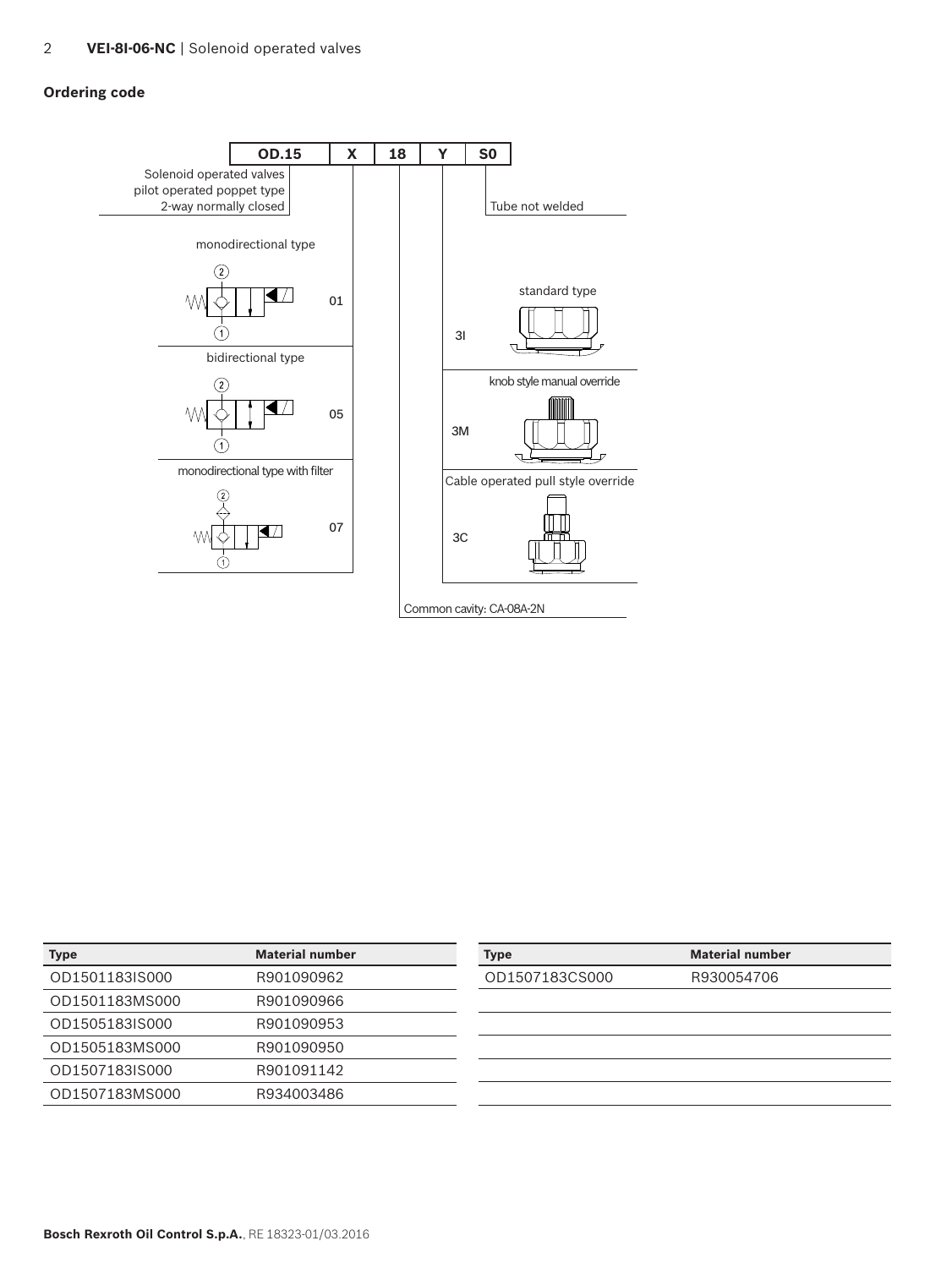# **Ordering code**



| <b>Type</b>    | <b>Material number</b> | <b>Type</b>    | <b>Material number</b> |
|----------------|------------------------|----------------|------------------------|
| OD1501183IS000 | R901090962             | OD1507183CS000 | R930054706             |
| OD1501183MS000 | R901090966             |                |                        |
| OD1505183IS000 | R901090953             |                |                        |
| OD1505183MS000 | R901090950             |                |                        |
| OD1507183IS000 | R901091142             |                |                        |
| OD1507183MS000 | R934003486             |                |                        |
|                |                        |                |                        |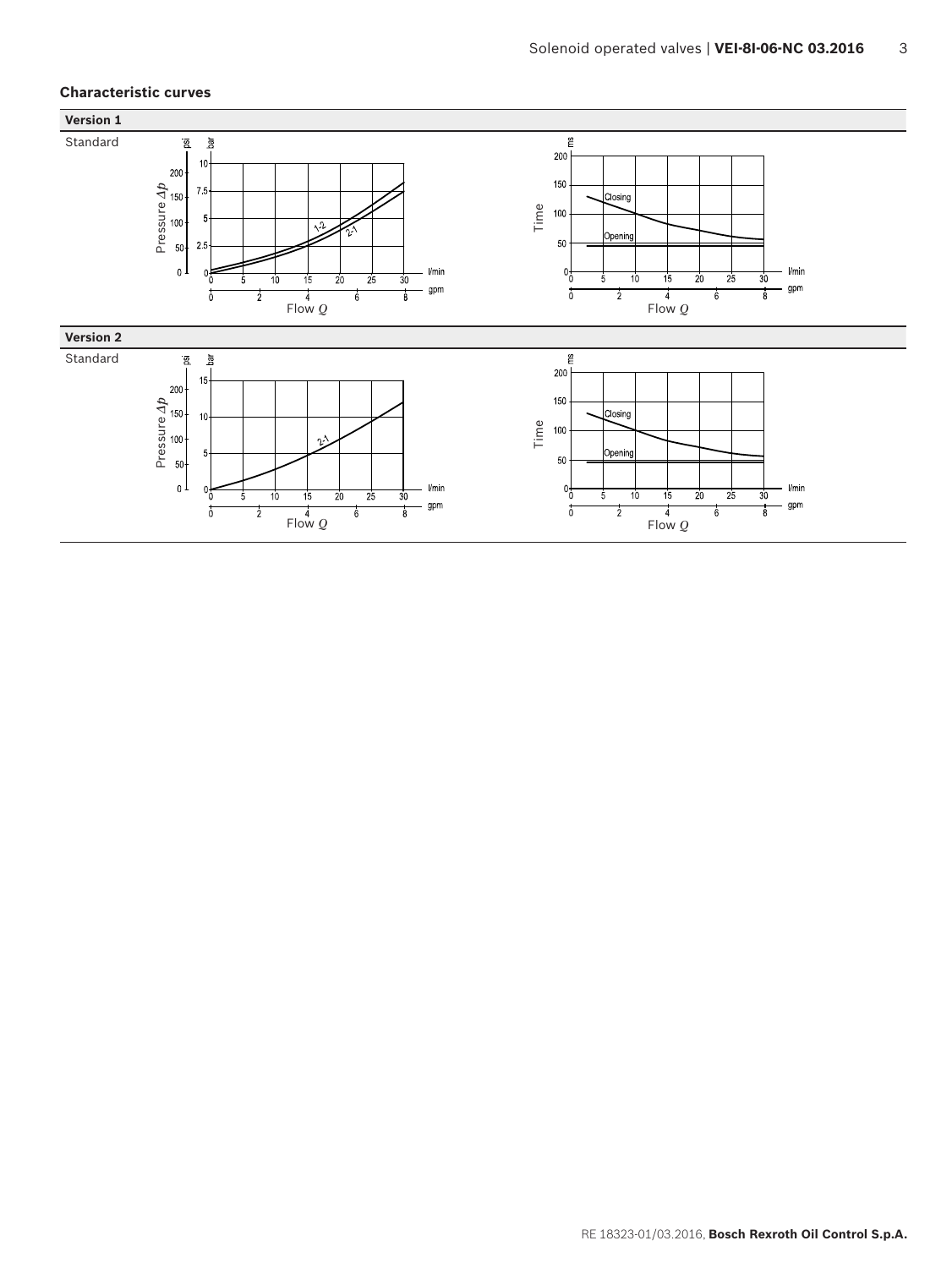# **Characteristic curves**